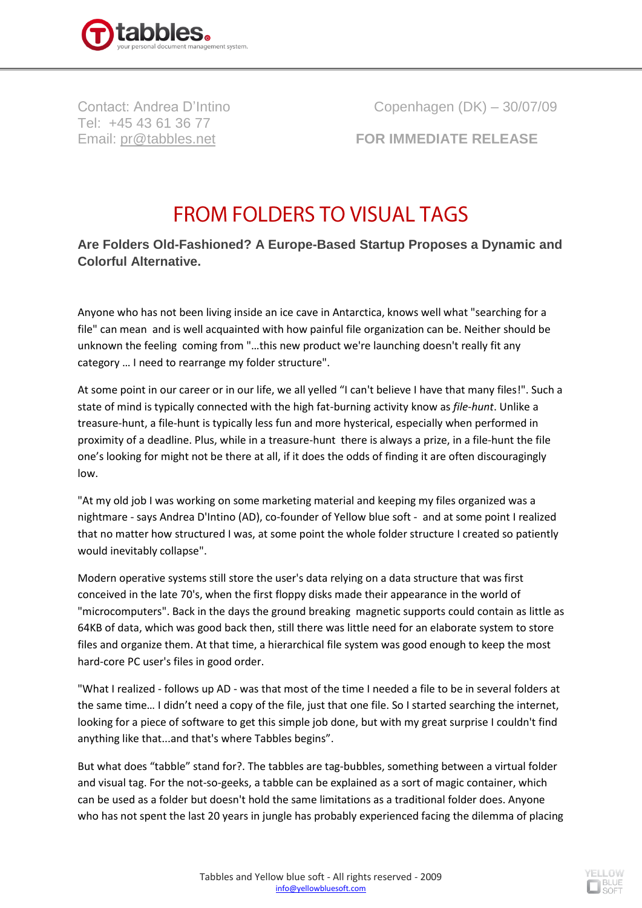

Tel: +45 43 61 36 77

Contact: Andrea D'Intino Copenhagen (DK) – 30/07/09

Email: [pr@tabbles.net](mailto:pr@tabbles.net) **FOR IMMEDIATE RELEASE**

## **FROM FOLDERS TO VISUAL TAGS**

## **Are Folders Old-Fashioned? A Europe-Based Startup Proposes a Dynamic and Colorful Alternative.**

Anyone who has not been living inside an ice cave in Antarctica, knows well what "searching for a file" can mean and is well acquainted with how painful file organization can be. Neither should be unknown the feeling coming from "…this new product we're launching doesn't really fit any category … I need to rearrange my folder structure".

At some point in our career or in our life, we all yelled "I can't believe I have that many files!". Such a state of mind is typically connected with the high fat-burning activity know as *file-hunt*. Unlike a treasure-hunt, a file-hunt is typically less fun and more hysterical, especially when performed in proximity of a deadline. Plus, while in a treasure-hunt there is always a prize, in a file-hunt the file one's looking for might not be there at all, if it does the odds of finding it are often discouragingly low.

"At my old job I was working on some marketing material and keeping my files organized was a nightmare - says Andrea D'Intino (AD), co-founder of Yellow blue soft - and at some point I realized that no matter how structured I was, at some point the whole folder structure I created so patiently would inevitably collapse".

Modern operative systems still store the user's data relying on a data structure that was first conceived in the late 70's, when the first floppy disks made their appearance in the world of "microcomputers". Back in the days the ground breaking magnetic supports could contain as little as 64KB of data, which was good back then, still there was little need for an elaborate system to store files and organize them. At that time, a hierarchical file system was good enough to keep the most hard-core PC user's files in good order.

"What I realized - follows up AD - was that most of the time I needed a file to be in several folders at the same time… I didn't need a copy of the file, just that one file. So I started searching the internet, looking for a piece of software to get this simple job done, but with my great surprise I couldn't find anything like that...and that's where Tabbles begins".

But what does "tabble" stand for?. The tabbles are tag-bubbles, something between a virtual folder and visual tag. For the not-so-geeks, a tabble can be explained as a sort of magic container, which can be used as a folder but doesn't hold the same limitations as a traditional folder does. Anyone who has not spent the last 20 years in jungle has probably experienced facing the dilemma of placing